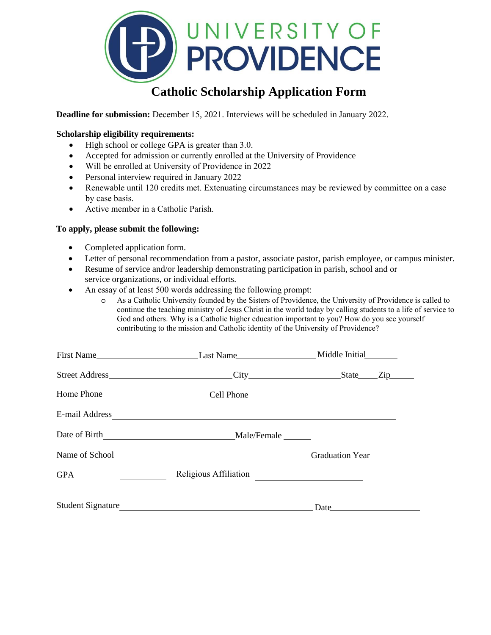

# **Catholic Scholarship Application Form**

**Deadline for submission:** December 15, 2021. Interviews will be scheduled in January 2022.

# **Scholarship eligibility requirements:**

- High school or college GPA is greater than 3.0.
- Accepted for admission or currently enrolled at the University of Providence
- Will be enrolled at University of Providence in 2022
- Personal interview required in January 2022
- Renewable until 120 credits met. Extenuating circumstances may be reviewed by committee on a case by case basis.
- Active member in a Catholic Parish.

## **To apply, please submit the following:**

- Completed application form.
- Letter of personal recommendation from a pastor, associate pastor, parish employee, or campus minister.
- Resume of service and/or leadership demonstrating participation in parish, school and or service organizations, or individual efforts.
- An essay of at least 500 words addressing the following prompt:
	- o As a Catholic University founded by the Sisters of Providence, the University of Providence is called to continue the teaching ministry of Jesus Christ in the world today by calling students to a life of service to God and others. Why is a Catholic higher education important to you? How do you see yourself contributing to the mission and Catholic identity of the University of Providence?

|                | First Name <u> Last Name  Last Name  Last Name  Last Name  Last Name  Last Name  Last Name  Last Name  Last Name  Last Name  Last Name  Last Name  Last Name  Last Name   Last Name   Last Name                                </u> |                                         |
|----------------|-------------------------------------------------------------------------------------------------------------------------------------------------------------------------------------------------------------------------------------|-----------------------------------------|
|                | Street Address ______________________________City _______________________________State                                                                                                                                              | $\overline{\text{Zip}}$                 |
|                |                                                                                                                                                                                                                                     |                                         |
|                |                                                                                                                                                                                                                                     |                                         |
|                |                                                                                                                                                                                                                                     |                                         |
| Name of School |                                                                                                                                                                                                                                     | Graduation Year                         |
| <b>GPA</b>     | Religious Affiliation                                                                                                                                                                                                               | <u> 1980 - Johann Barbara, martin a</u> |
|                | Student Signature                                                                                                                                                                                                                   | Date                                    |